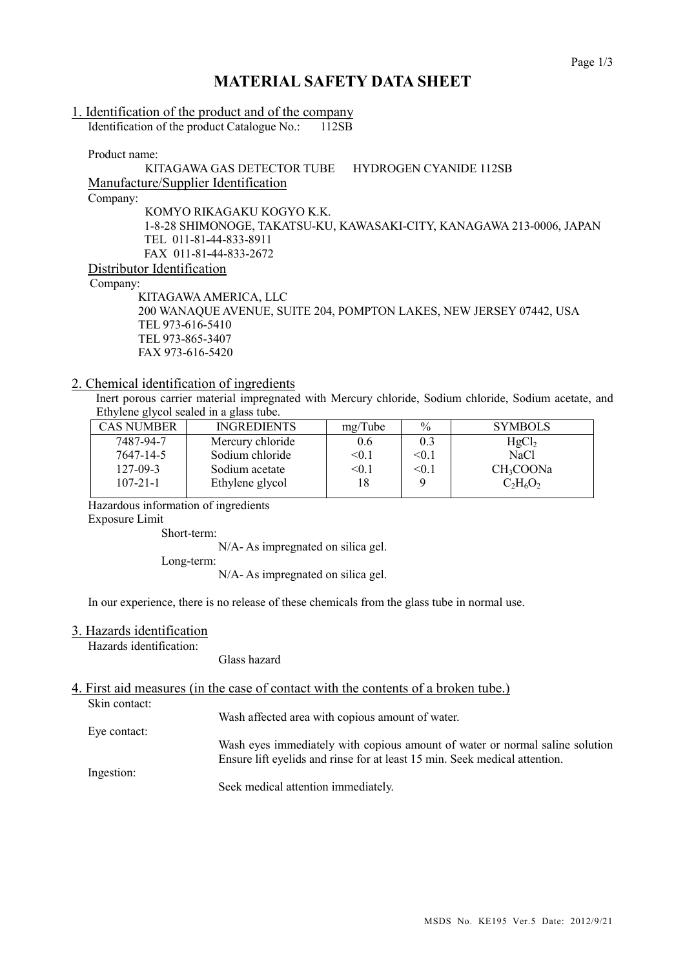## **MATERIAL SAFETY DATA SHEET**

# 1. Identification of the product and of the company

Identification of the product Catalogue No.: 112SB

Product name:

#### KITAGAWA GAS DETECTOR TUBE HYDROGEN CYANIDE 112SB Manufacture/Supplier Identification Company: KOMYO RIKAGAKU KOGYO K.K.

1-8-28 SHIMONOGE, TAKATSU-KU, KAWASAKI-CITY, KANAGAWA 213-0006, JAPAN TEL 011-81-44-833-8911 FAX 011-81-44-833-2672 Distributor Identification

Company:

KITAGAWAAMERICA, LLC 200 WANAQUE AVENUE, SUITE 204, POMPTON LAKES, NEW JERSEY 07442, USA TEL 973-616-5410 TEL 973-865-3407 FAX 973-616-5420

#### 2. Chemical identification of ingredients

Inert porous carrier material impregnated with Mercury chloride, Sodium chloride, Sodium acetate, and Ethylene glycol sealed in a glass tube.

| <b>CAS NUMBER</b> | <b>INGREDIENTS</b> | mg/Tube      | $\frac{0}{0}$ | <b>SYMBOLS</b>        |
|-------------------|--------------------|--------------|---------------|-----------------------|
| 7487-94-7         | Mercury chloride   | 0.6          | 0.3           | HgCl <sub>2</sub>     |
| 7647-14-5         | Sodium chloride    | $<$ 0.1 $\,$ | < 0.1         | <b>NaCl</b>           |
| $127 - 09 - 3$    | Sodium acetate     | $<$ 0.1 $\,$ | < 0.1         | CH <sub>3</sub> COONa |
| $107 - 21 - 1$    | Ethylene glycol    | 18           |               | $C_2H_6O_2$           |
|                   |                    |              |               |                       |

Hazardous information of ingredients

Exposure Limit

Short-term:

N/A- As impregnated on silica gel.

Long-term:

N/A- As impregnated on silica gel.

In our experience, there is no release of these chemicals from the glass tube in normal use.

#### 3. Hazards identification

Hazards identification:

Glass hazard

### 4. First aid measures (in the case of contact with the contents of a broken tube.)

Skin contact:

Wash affected area with copious amount of water.

Eye contact:

Wash eyes immediately with copious amount of water or normal saline solution Ensure lift eyelids and rinse for at least 15 min. Seek medical attention.

Ingestion:

Seek medical attention immediately.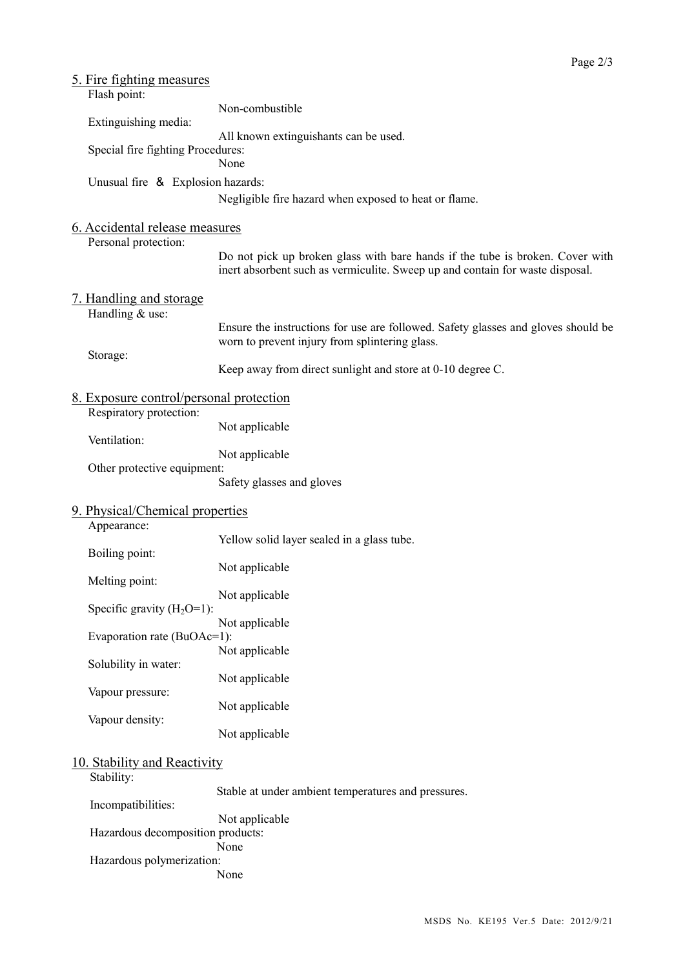| <u>5. Fire fighting measures</u>               |                                                                                   |  |
|------------------------------------------------|-----------------------------------------------------------------------------------|--|
| Flash point:                                   |                                                                                   |  |
|                                                | Non-combustible                                                                   |  |
| Extinguishing media:                           |                                                                                   |  |
|                                                | All known extinguishants can be used.                                             |  |
| Special fire fighting Procedures:              |                                                                                   |  |
|                                                | None                                                                              |  |
| Unusual fire & Explosion hazards:              |                                                                                   |  |
|                                                | Negligible fire hazard when exposed to heat or flame.                             |  |
|                                                |                                                                                   |  |
| 6. Accidental release measures                 |                                                                                   |  |
| Personal protection:                           |                                                                                   |  |
|                                                | Do not pick up broken glass with bare hands if the tube is broken. Cover with     |  |
|                                                | inert absorbent such as vermiculite. Sweep up and contain for waste disposal.     |  |
|                                                |                                                                                   |  |
| <u>7. Handling and storage</u>                 |                                                                                   |  |
| Handling & use:                                |                                                                                   |  |
|                                                | Ensure the instructions for use are followed. Safety glasses and gloves should be |  |
|                                                | worn to prevent injury from splintering glass.                                    |  |
| Storage:                                       |                                                                                   |  |
|                                                | Keep away from direct sunlight and store at 0-10 degree C.                        |  |
|                                                |                                                                                   |  |
| <u>8. Exposure control/personal protection</u> |                                                                                   |  |
| Respiratory protection:                        |                                                                                   |  |
|                                                | Not applicable                                                                    |  |
| Ventilation:                                   |                                                                                   |  |
|                                                | Not applicable                                                                    |  |
| Other protective equipment:                    |                                                                                   |  |
|                                                | Safety glasses and gloves                                                         |  |
|                                                |                                                                                   |  |
| 9. Physical/Chemical properties                |                                                                                   |  |
| Appearance:                                    |                                                                                   |  |
|                                                | Yellow solid layer sealed in a glass tube.                                        |  |
| Boiling point:                                 |                                                                                   |  |
|                                                | Not applicable                                                                    |  |
| Melting point:                                 |                                                                                   |  |
| Specific gravity $(H_2O=1)$ :                  | Not applicable                                                                    |  |
|                                                | Not applicable                                                                    |  |
| Evaporation rate (BuOAc=1):                    |                                                                                   |  |
|                                                | Not applicable                                                                    |  |
| Solubility in water:                           |                                                                                   |  |
|                                                | Not applicable                                                                    |  |
| Vapour pressure:                               |                                                                                   |  |
|                                                | Not applicable                                                                    |  |
| Vapour density:                                |                                                                                   |  |
|                                                | Not applicable                                                                    |  |
|                                                |                                                                                   |  |
| 10. Stability and Reactivity                   |                                                                                   |  |
| Stability:                                     |                                                                                   |  |
|                                                | Stable at under ambient temperatures and pressures.                               |  |
| Incompatibilities:                             |                                                                                   |  |
|                                                | Not applicable                                                                    |  |
| Hazardous decomposition products:              |                                                                                   |  |
|                                                | None                                                                              |  |
| Hazardous polymerization:                      |                                                                                   |  |
|                                                | None                                                                              |  |